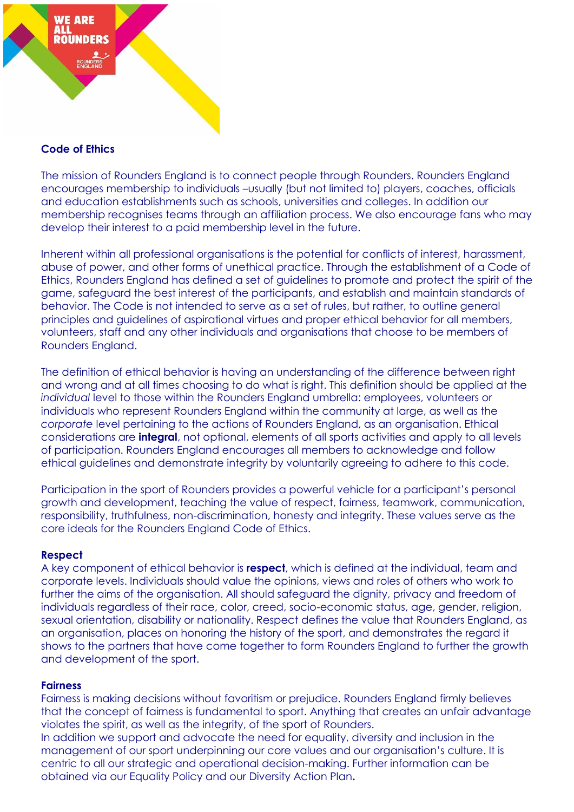

# **Code of Ethics**

The mission of Rounders England is to connect people through Rounders. Rounders England encourages membership to individuals –usually (but not limited to) players, coaches, officials and education establishments such as schools, universities and colleges. In addition our membership recognises teams through an affiliation process. We also encourage fans who may develop their interest to a paid membership level in the future.

Inherent within all professional organisations is the potential for conflicts of interest, harassment, abuse of power, and other forms of unethical practice. Through the establishment of a Code of Ethics, Rounders England has defined a set of guidelines to promote and protect the spirit of the game, safeguard the best interest of the participants, and establish and maintain standards of behavior. The Code is not intended to serve as a set of rules, but rather, to outline general principles and guidelines of aspirational virtues and proper ethical behavior for all members, volunteers, staff and any other individuals and organisations that choose to be members of Rounders England.

The definition of ethical behavior is having an understanding of the difference between right and wrong and at all times choosing to do what is right. This definition should be applied at the *individual* level to those within the Rounders England umbrella: employees, volunteers or individuals who represent Rounders England within the community at large, as well as the *corporate* level pertaining to the actions of Rounders England, as an organisation. Ethical considerations are **integral**, not optional, elements of all sports activities and apply to all levels of participation. Rounders England encourages all members to acknowledge and follow ethical guidelines and demonstrate integrity by voluntarily agreeing to adhere to this code.

Participation in the sport of Rounders provides a powerful vehicle for a participant's personal growth and development, teaching the value of respect, fairness, teamwork, communication, responsibility, truthfulness, non-discrimination, honesty and integrity. These values serve as the core ideals for the Rounders England Code of Ethics.

### **Respect**

A key component of ethical behavior is **respect**, which is defined at the individual, team and corporate levels. Individuals should value the opinions, views and roles of others who work to further the aims of the organisation. All should safeguard the dignity, privacy and freedom of individuals regardless of their race, color, creed, socio-economic status, age, gender, religion, sexual orientation, disability or nationality. Respect defines the value that Rounders England, as an organisation, places on honoring the history of the sport, and demonstrates the regard it shows to the partners that have come together to form Rounders England to further the growth and development of the sport.

### **Fairness**

Fairness is making decisions without favoritism or prejudice. Rounders England firmly believes that the concept of fairness is fundamental to sport. Anything that creates an unfair advantage violates the spirit, as well as the integrity, of the sport of Rounders. In addition we support and advocate the need for equality, diversity and inclusion in the

management of our sport underpinning our core values and our organisation's culture. It is centric to all our strategic and operational decision-making. Further information can be obtained via our Equality Policy and our Diversity Action Plan**.**